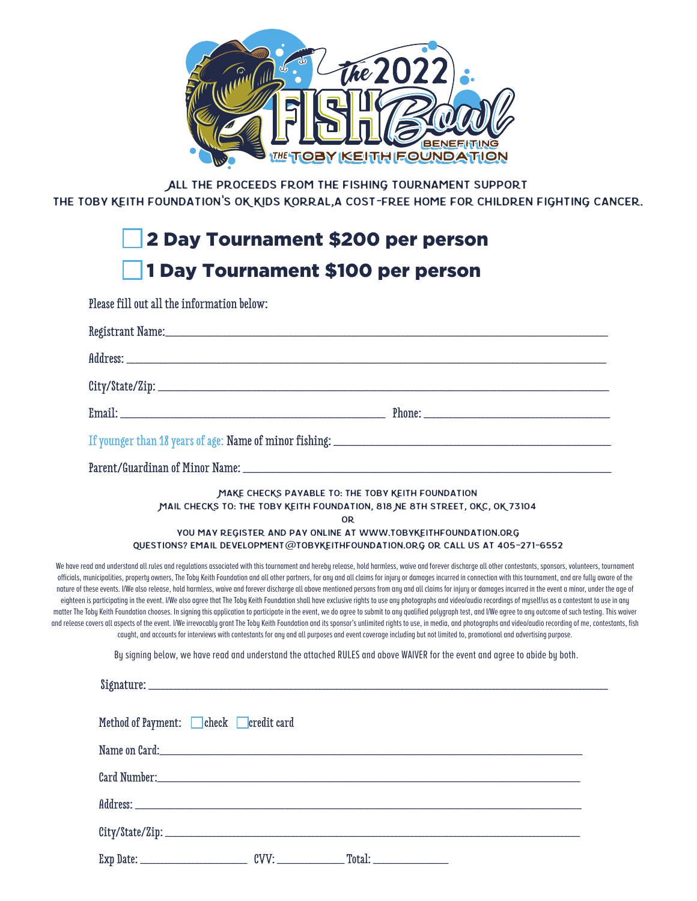

All the proceeds from the fishing tournament support

The Toby Keith Foundation**'**s OK Kids Korral,a cost**-**free home for children fighting cancer.

# 2 Day Tournament \$200 per person 1 Day Tournament \$100 per person

Please fill out all the information below:

|                                      | MAKE CHECKS PAYABLE TO: THE TOBY KEITH FOUNDATION<br>MAIL CHECKS TO: THE TOBY KEITH FOUNDATION, 818 NE 8TH STREET, OKC, OK 73104<br><b>OR</b><br>YOU MAY REGISTER AND PAY ONLINE AT WWW.TOBYKEITHFOUNDATION.ORG<br>QUESTIONS? EMAIL DEVELOPMENT@TOBYKEITHFOUNDATION.ORG OR CALL US AT 405-271-6552<br>We have read and understand all rules and regulations associated with this tournament and hereby release, hold harmless, waive and forever discharge all other contestants, sponsors, volunteers, tournament<br>officials, municipalities, property owners, The Toby Keith Foundation and all other partners, for any and all claims for injury or damages incurred in connection with this tournament, and are fully aware of the<br>nature of these events. I/We also release, hold harmless, waive and forever discharge all above mentioned persons from any and all claims for injury or damages incurred in the event a minor, under the age of<br>eighteen is participating in the event. I/We also agree that The Toby Keith Foundation shall have exclusive rights to use any photographs and video/audio recordings of myself/us as a contestant to use in any<br>matter The Toby Keith Foundation chooses. In signing this application to participate in the event, we do agree to submit to any qualified polygraph test, and I/We agree to any outcome of such testing. This waiver<br>and release covers all aspects of the event. I/We irrevocably grant The Toby Keith Foundation and its sponsor's unlimited rights to use, in media, and photographs and video/audio recording of me, contestants, fish<br>caught, and accounts for interviews with contestants for any and all purposes and event coverage including but not limited to, promotional and advertising purpose.<br>By signing below, we have read and understand the attached RULES and above WAIVER for the event and agree to abide by both. |  |
|--------------------------------------|---------------------------------------------------------------------------------------------------------------------------------------------------------------------------------------------------------------------------------------------------------------------------------------------------------------------------------------------------------------------------------------------------------------------------------------------------------------------------------------------------------------------------------------------------------------------------------------------------------------------------------------------------------------------------------------------------------------------------------------------------------------------------------------------------------------------------------------------------------------------------------------------------------------------------------------------------------------------------------------------------------------------------------------------------------------------------------------------------------------------------------------------------------------------------------------------------------------------------------------------------------------------------------------------------------------------------------------------------------------------------------------------------------------------------------------------------------------------------------------------------------------------------------------------------------------------------------------------------------------------------------------------------------------------------------------------------------------------------------------------------------------------------------------------------------------------------------------------------------------------------------------------------------------------------------------|--|
|                                      |                                                                                                                                                                                                                                                                                                                                                                                                                                                                                                                                                                                                                                                                                                                                                                                                                                                                                                                                                                                                                                                                                                                                                                                                                                                                                                                                                                                                                                                                                                                                                                                                                                                                                                                                                                                                                                                                                                                                       |  |
| Method of Payment: Check Credit card |                                                                                                                                                                                                                                                                                                                                                                                                                                                                                                                                                                                                                                                                                                                                                                                                                                                                                                                                                                                                                                                                                                                                                                                                                                                                                                                                                                                                                                                                                                                                                                                                                                                                                                                                                                                                                                                                                                                                       |  |
|                                      |                                                                                                                                                                                                                                                                                                                                                                                                                                                                                                                                                                                                                                                                                                                                                                                                                                                                                                                                                                                                                                                                                                                                                                                                                                                                                                                                                                                                                                                                                                                                                                                                                                                                                                                                                                                                                                                                                                                                       |  |
|                                      |                                                                                                                                                                                                                                                                                                                                                                                                                                                                                                                                                                                                                                                                                                                                                                                                                                                                                                                                                                                                                                                                                                                                                                                                                                                                                                                                                                                                                                                                                                                                                                                                                                                                                                                                                                                                                                                                                                                                       |  |
|                                      |                                                                                                                                                                                                                                                                                                                                                                                                                                                                                                                                                                                                                                                                                                                                                                                                                                                                                                                                                                                                                                                                                                                                                                                                                                                                                                                                                                                                                                                                                                                                                                                                                                                                                                                                                                                                                                                                                                                                       |  |
|                                      |                                                                                                                                                                                                                                                                                                                                                                                                                                                                                                                                                                                                                                                                                                                                                                                                                                                                                                                                                                                                                                                                                                                                                                                                                                                                                                                                                                                                                                                                                                                                                                                                                                                                                                                                                                                                                                                                                                                                       |  |